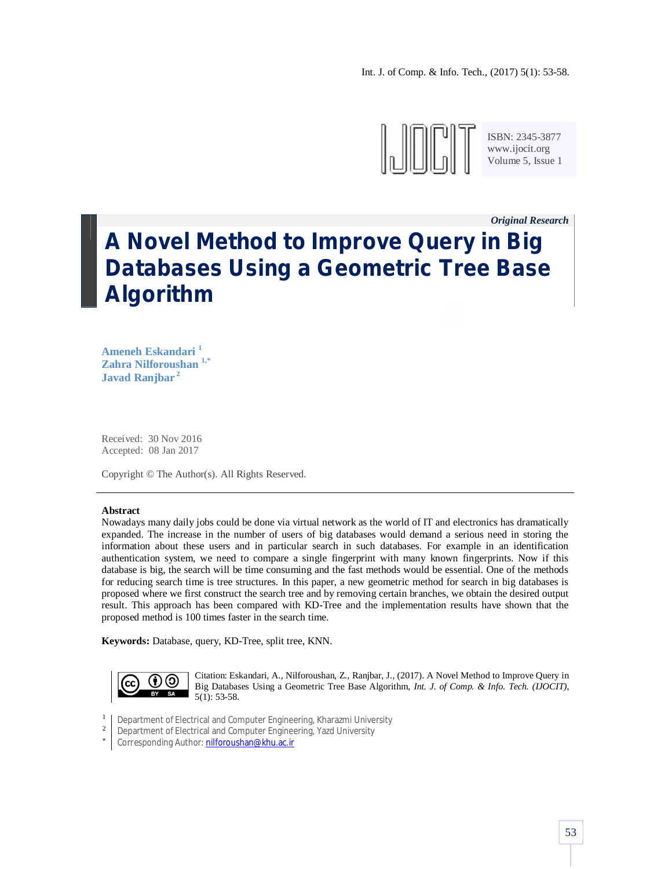

*Original Research \_*

# **A Novel Method to Improve Query in Big Databases Using a Geometric Tree Base Algorithm**

**Ameneh Eskandari <sup>1</sup> Zahra Nilforoushan 1,\* Javad Ranjbar <sup>2</sup>**

Received: 30 Nov 2016 Accepted: 08 Jan 2017

Copyright © The Author(s). All Rights Reserved.

### **Abstract**

Nowadays many daily jobs could be done via virtual network as the world of IT and electronics has dramatically expanded. The increase in the number of users of big databases would demand a serious need in storing the information about these users and in particular search in such databases. For example in an identification authentication system, we need to compare a single fingerprint with many known fingerprints. Now if this database is big, the search will be time consuming and the fast methods would be essential. One of the methods for reducing search time is tree structures. In this paper, a new geometric method for search in big databases is proposed where we first construct the search tree and by removing certain branches, we obtain the desired output result. This approach has been compared with KD-Tree and the implementation results have shown that the proposed method is 100 times faster in the search time.

**Keywords:** Database, query, KD-Tree, split tree, KNN.



Citation: Eskandari, A., Nilforoushan, Z., Ranjbar, J., (2017). A Novel Method to Improve Query in Big Databases Using a Geometric Tree Base Algorithm, *Int. J. of Comp. & Info. Tech. (IJOCIT)*, 5(1): 53-58.

- 1 Department of Electrical and Computer Engineering, Kharazmi University
- 2 Department of Electrical and Computer Engineering, Yazd University
- \* Corresponding Author: nilforoushan@khu.ac.ir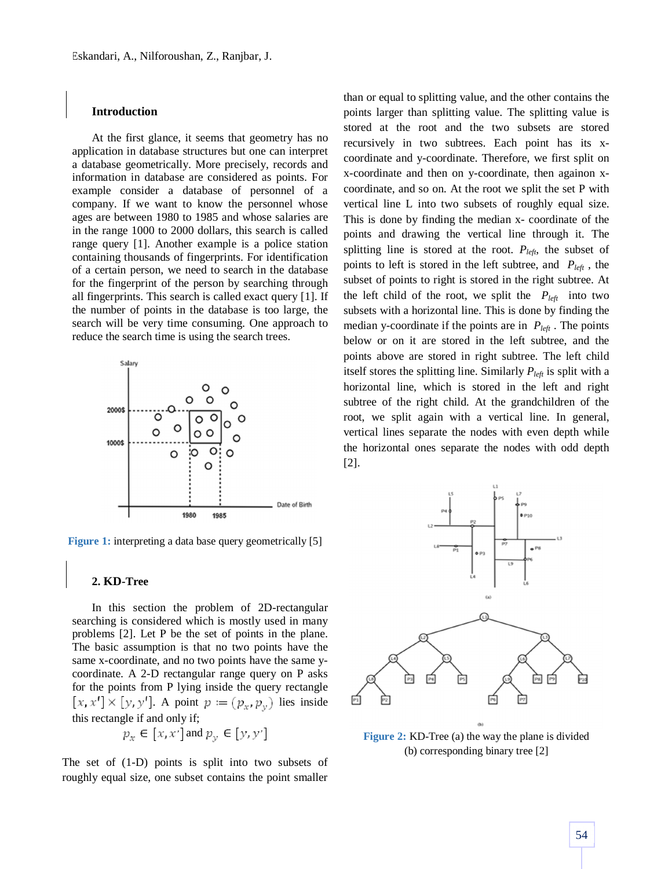## **Introduction**

At the first glance, it seems that geometry has no application in database structures but one can interpret a database geometrically. More precisely, records and information in database are considered as points. For example consider a database of personnel of a company. If we want to know the personnel whose ages are between 1980 to 1985 and whose salaries are in the range 1000 to 2000 dollars, this search is called range query [1]. Another example is a police station containing thousands of fingerprints. For identification of a certain person, we need to search in the database for the fingerprint of the person by searching through all fingerprints. This search is called exact query [1]. If the number of points in the database is too large, the search will be very time consuming. One approach to reduce the search time is using the search trees.



**Figure 1:** interpreting a data base query geometrically [5]

### **2. KD-Tree**

In this section the problem of 2D-rectangular searching is considered which is mostly used in many problems [2]. Let P be the set of points in the plane. The basic assumption is that no two points have the same x-coordinate, and no two points have the same ycoordinate. A 2-D rectangular range query on P asks for the points from P lying inside the query rectangle  $[x, x'] \times [y, y']$ . A point  $p := (p_x, p_y)$  lies inside this rectangle if and only if;

$$
p_x \in [x, x'] \text{ and } p_y \in [y, y']
$$

The set of (1-D) points is split into two subsets of roughly equal size, one subset contains the point smaller

than or equal to splitting value, and the other contains the points larger than splitting value. The splitting value is stored at the root and the two subsets are stored recursively in two subtrees. Each point has its xcoordinate and y-coordinate. Therefore, we first split on x-coordinate and then on y-coordinate, then againon xcoordinate, and so on. At the root we split the set P with vertical line L into two subsets of roughly equal size. This is done by finding the median x- coordinate of the points and drawing the vertical line through it. The splitting line is stored at the root.  $P_{left}$ , the subset of points to left is stored in the left subtree, and *Pleft* , the subset of points to right is stored in the right subtree. At the left child of the root, we split the  $P_{left}$  into two subsets with a horizontal line. This is done by finding the median y-coordinate if the points are in *Pleft* . The points below or on it are stored in the left subtree, and the points above are stored in right subtree. The left child itself stores the splitting line. Similarly  $P_{left}$  is split with a horizontal line, which is stored in the left and right subtree of the right child. At the grandchildren of the root, we split again with a vertical line. In general, vertical lines separate the nodes with even depth while the horizontal ones separate the nodes with odd depth [2].



**Figure 2:** KD-Tree (a) the way the plane is divided (b) corresponding binary tree [2]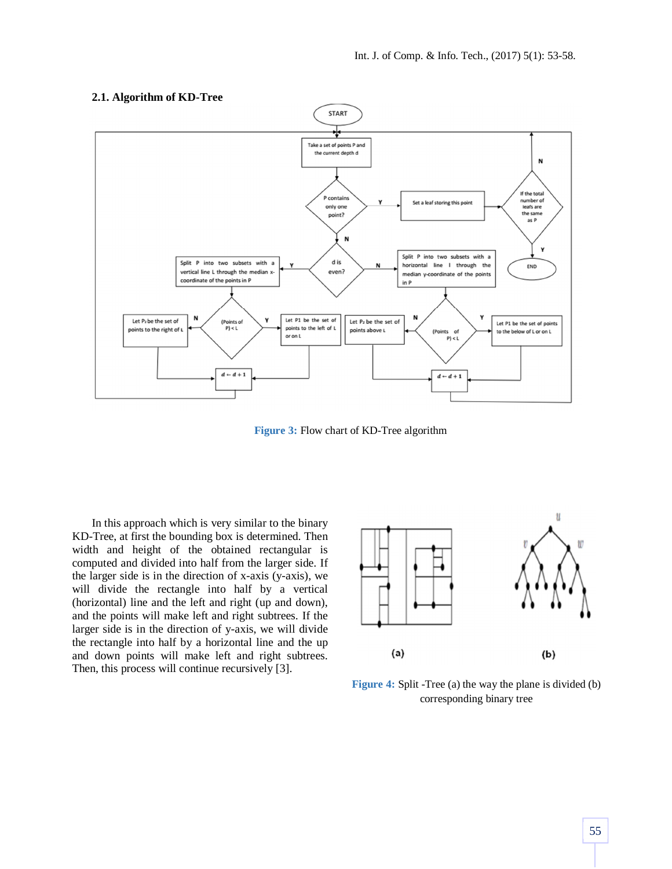

# **2.1. Algorithm of KD-Tree**

**Figure 3:** Flow chart of KD-Tree algorithm

In this approach which is very similar to the binary KD-Tree, at first the bounding box is determined. Then width and height of the obtained rectangular is computed and divided into half from the larger side. If the larger side is in the direction of x-axis (y-axis), we will divide the rectangle into half by a vertical (horizontal) line and the left and right (up and down), and the points will make left and right subtrees. If the larger side is in the direction of y-axis, we will divide the rectangle into half by a horizontal line and the up and down points will make left and right subtrees. Then, this process will continue recursively [3].



**Figure 4:** Split -Tree (a) the way the plane is divided (b) corresponding binary tree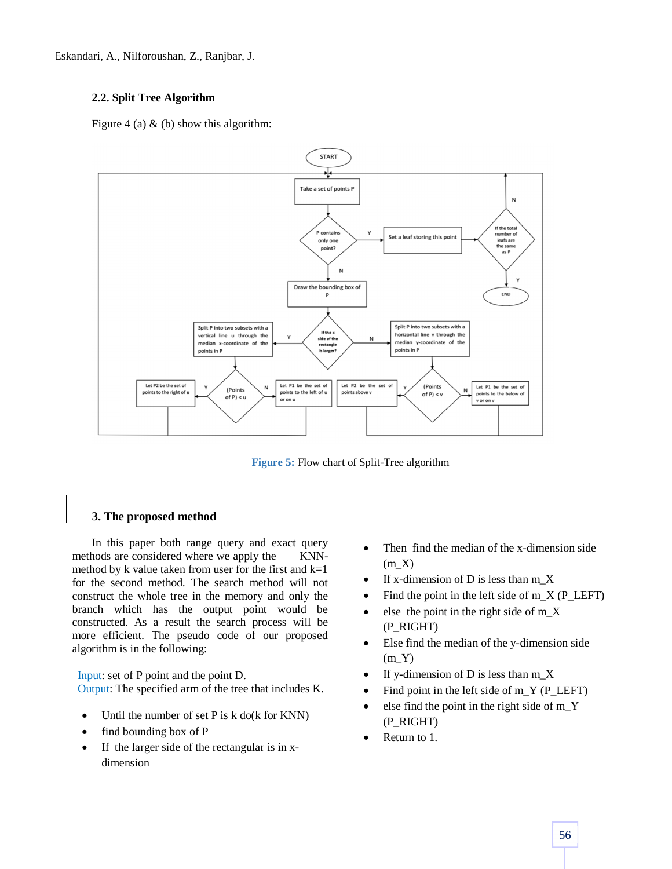Eskandari, A., Nilforoushan, Z., Ranjbar, J.

# **2.2. Split Tree Algorithm**

Figure 4 (a)  $\&$  (b) show this algorithm:



**Figure 5:** Flow chart of Split-Tree algorithm

# **3. The proposed method**

In this paper both range query and exact query methods are considered where we apply the KNNmethod by k value taken from user for the first and  $k=1$ for the second method. The search method will not construct the whole tree in the memory and only the branch which has the output point would be constructed. As a result the search process will be more efficient. The pseudo code of our proposed algorithm is in the following:

Input: set of P point and the point D. Output: The specified arm of the tree that includes K.

- Until the number of set P is k do(k for KNN)
- find bounding box of P
- If the larger side of the rectangular is in xdimension
- Then find the median of the x-dimension side  $(mX)$
- If x-dimension of D is less than m\_X
- Find the point in the left side of  $m_X (P_\text{LEFT})$
- else the point in the right side of m\_X (P\_RIGHT)
- Else find the median of the y-dimension side  $(m_Y)$
- If y-dimension of D is less than  $m_X$
- Find point in the left side of  $m_Y$  (P\_LEFT)
- else find the point in the right side of m\_Y (P\_RIGHT)
- Return to 1.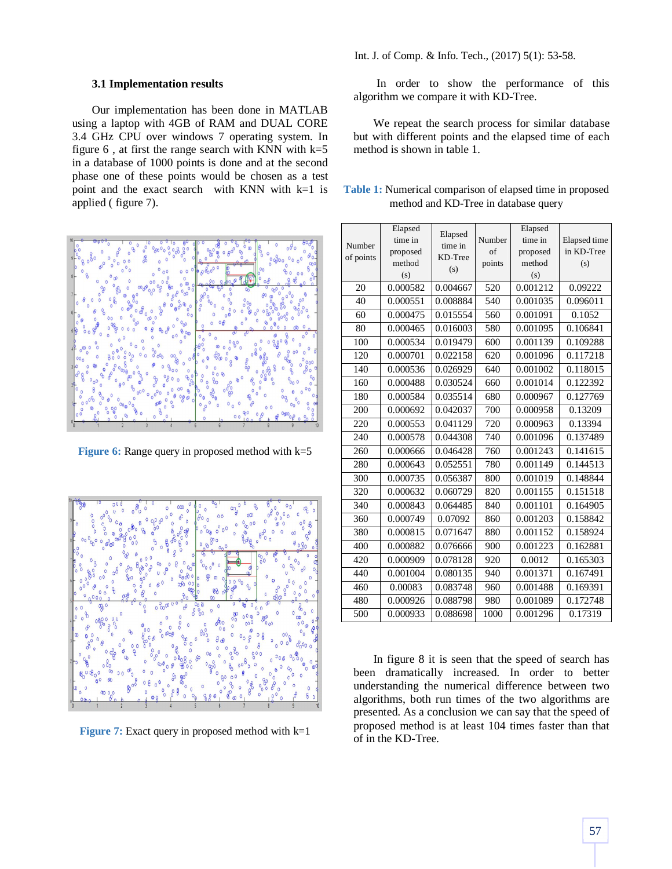## **3.1 Implementation results**

Our implementation has been done in MATLAB using a laptop with 4GB of RAM and DUAL CORE 3.4 GHz CPU over windows 7 operating system. In figure  $6$ , at first the range search with KNN with  $k=5$ in a database of 1000 points is done and at the second phase one of these points would be chosen as a test point and the exact search with KNN with k=1 is applied ( figure 7).



**Figure 6:** Range query in proposed method with k=5



**Figure 7:** Exact query in proposed method with k=1

In order to show the performance of this algorithm we compare it with KD-Tree.

We repeat the search process for similar database but with different points and the elapsed time of each method is shown in table 1.

| <b>Table 1:</b> Numerical comparison of elapsed time in proposed |  |
|------------------------------------------------------------------|--|
| method and KD-Tree in database query                             |  |

|           | Elapsed            | Elapsed  |        | Elapsed            |              |
|-----------|--------------------|----------|--------|--------------------|--------------|
| Number    | time in            | time in  | Number | time in            | Elapsed time |
| of points | proposed<br>method | KD-Tree  | of     | proposed<br>method | in KD-Tree   |
|           | (s)                | (s)      | points | (s)                | (s)          |
|           |                    |          |        |                    |              |
| 20        | 0.000582           | 0.004667 | 520    | 0.001212           | 0.09222      |
| 40        | 0.000551           | 0.008884 | 540    | 0.001035           | 0.096011     |
| 60        | 0.000475           | 0.015554 | 560    | 0.001091           | 0.1052       |
| 80        | 0.000465           | 0.016003 | 580    | 0.001095           | 0.106841     |
| 100       | 0.000534           | 0.019479 | 600    | 0.001139           | 0.109288     |
| 120       | 0.000701           | 0.022158 | 620    | 0.001096           | 0.117218     |
| 140       | 0.000536           | 0.026929 | 640    | 0.001002           | 0.118015     |
| 160       | 0.000488           | 0.030524 | 660    | 0.001014           | 0.122392     |
| 180       | 0.000584           | 0.035514 | 680    | 0.000967           | 0.127769     |
| 200       | 0.000692           | 0.042037 | 700    | 0.000958           | 0.13209      |
| 220       | 0.000553           | 0.041129 | 720    | 0.000963           | 0.13394      |
| 240       | 0.000578           | 0.044308 | 740    | 0.001096           | 0.137489     |
| 260       | 0.000666           | 0.046428 | 760    | 0.001243           | 0.141615     |
| 280       | 0.000643           | 0.052551 | 780    | 0.001149           | 0.144513     |
| 300       | 0.000735           | 0.056387 | 800    | 0.001019           | 0.148844     |
| 320       | 0.000632           | 0.060729 | 820    | 0.001155           | 0.151518     |
| 340       | 0.000843           | 0.064485 | 840    | 0.001101           | 0.164905     |
| 360       | 0.000749           | 0.07092  | 860    | 0.001203           | 0.158842     |
| 380       | 0.000815           | 0.071647 | 880    | 0.001152           | 0.158924     |
| 400       | 0.000882           | 0.076666 | 900    | 0.001223           | 0.162881     |
| 420       | 0.000909           | 0.078128 | 920    | 0.0012             | 0.165303     |
| 440       | 0.001004           | 0.080135 | 940    | 0.001371           | 0.167491     |
| 460       | 0.00083            | 0.083748 | 960    | 0.001488           | 0.169391     |
| 480       | 0.000926           | 0.088798 | 980    | 0.001089           | 0.172748     |
| 500       | 0.000933           | 0.088698 | 1000   | 0.001296           | 0.17319      |

In figure 8 it is seen that the speed of search has been dramatically increased. In order to better understanding the numerical difference between two algorithms, both run times of the two algorithms are presented. As a conclusion we can say that the speed of proposed method is at least 104 times faster than that of in the KD-Tree.